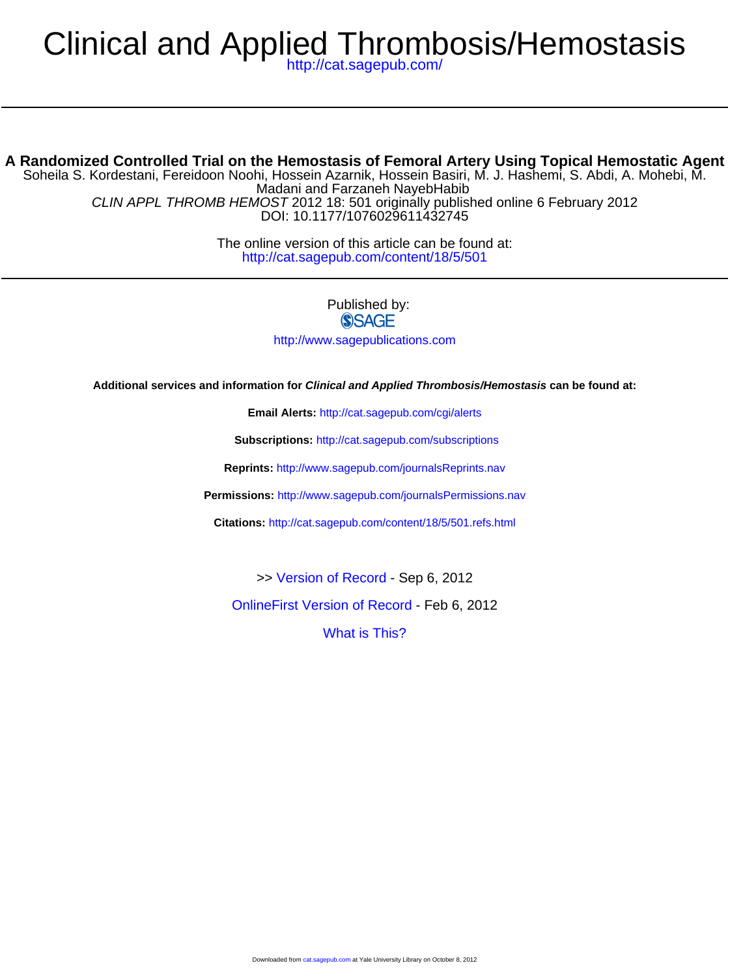# Clinical and Applied Thrombosis/Hemostasis

<http://cat.sagepub.com/>

#### DOI: 10.1177/1076029611432745 CLIN APPL THROMB HEMOST 2012 18: 501 originally published online 6 February 2012 Madani and Farzaneh NayebHabib Soheila S. Kordestani, Fereidoon Noohi, Hossein Azarnik, Hossein Basiri, M. J. Hashemi, S. Abdi, A. Mohebi, M. **A Randomized Controlled Trial on the Hemostasis of Femoral Artery Using Topical Hemostatic Agent**

<http://cat.sagepub.com/content/18/5/501> The online version of this article can be found at:

> Published by: **SSAGE** <http://www.sagepublications.com>

**Additional services and information for Clinical and Applied Thrombosis/Hemostasis can be found at:**

**Email Alerts:** <http://cat.sagepub.com/cgi/alerts>

**Subscriptions:** <http://cat.sagepub.com/subscriptions>

**Reprints:** <http://www.sagepub.com/journalsReprints.nav>

**Permissions:** <http://www.sagepub.com/journalsPermissions.nav>

**Citations:** <http://cat.sagepub.com/content/18/5/501.refs.html>

>> [Version of Record -](http://cat.sagepub.com/content/18/5/501.full.pdf) Sep 6, 2012

[OnlineFirst Version of Record -](http://cat.sagepub.com/content/early/2012/02/02/1076029611432745.full.pdf) Feb 6, 2012

[What is This?](http://online.sagepub.com/site/sphelp/vorhelp.xhtml)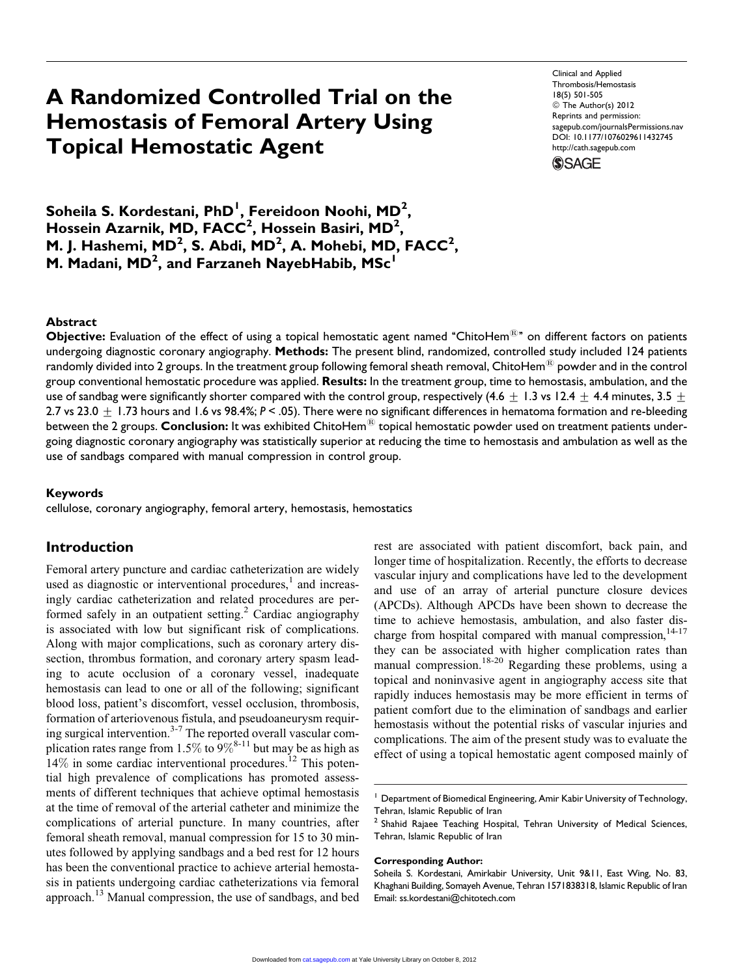# A Randomized Controlled Trial on the Hemostasis of Femoral Artery Using Topical Hemostatic Agent

Clinical and Applied Thrombosis/Hemostasis 18(5) 501-505 © The Author(s) 2012 Reprints and permission: sagepub.com/journalsPermissions.nav DOI: 10.1177/1076029611432745 http://cath.sagepub.com



 $\sf S$ oheila  $\sf S.$  Kordestani, PhD $^{\sf I}$ , Fereidoon Noohi, MD $^{\sf 2}$ , Hossein Azarnik, MD, FACC<sup>2</sup>, Hossein Basiri, MD<sup>2</sup>, M. J. Hashemi, MD<sup>2</sup>, S. Abdi, MD<sup>2</sup>, A. Mohebi, MD, FACC<sup>2</sup>, M. Madani, MD<sup>2</sup>, and Farzaneh NayebHabib, MSc<sup>1</sup>

### Abstract

Objective: Evaluation of the effect of using a topical hemostatic agent named "ChitoHem<sup>®</sup>" on different factors on patients undergoing diagnostic coronary angiography. Methods: The present blind, randomized, controlled study included 124 patients randomly divided into 2 groups. In the treatment group following femoral sheath removal, ChitoHem $^{\circledR}$  powder and in the control group conventional hemostatic procedure was applied. Results: In the treatment group, time to hemostasis, ambulation, and the use of sandbag were significantly shorter compared with the control group, respectively (4.6 + 1.3 vs 12.4 + 4.4 minutes, 3.5 + 2.7 vs 23.0  $\pm$  1.73 hours and 1.6 vs 98.4%; P < .05). There were no significant differences in hematoma formation and re-bleeding between the 2 groups. Conclusion: It was exhibited ChitoHem<sup>®</sup> topical hemostatic powder used on treatment patients undergoing diagnostic coronary angiography was statistically superior at reducing the time to hemostasis and ambulation as well as the use of sandbags compared with manual compression in control group.

#### Keywords

cellulose, coronary angiography, femoral artery, hemostasis, hemostatics

# Introduction

Femoral artery puncture and cardiac catheterization are widely used as diagnostic or interventional procedures, $<sup>1</sup>$  and increas-</sup> ingly cardiac catheterization and related procedures are performed safely in an outpatient setting.<sup>2</sup> Cardiac angiography is associated with low but significant risk of complications. Along with major complications, such as coronary artery dissection, thrombus formation, and coronary artery spasm leading to acute occlusion of a coronary vessel, inadequate hemostasis can lead to one or all of the following; significant blood loss, patient's discomfort, vessel occlusion, thrombosis, formation of arteriovenous fistula, and pseudoaneurysm requiring surgical intervention. $3-7$  The reported overall vascular complication rates range from 1.5% to  $9\%^{8-11}$  but may be as high as  $14\%$  in some cardiac interventional procedures.<sup>12</sup> This potential high prevalence of complications has promoted assessments of different techniques that achieve optimal hemostasis at the time of removal of the arterial catheter and minimize the complications of arterial puncture. In many countries, after femoral sheath removal, manual compression for 15 to 30 minutes followed by applying sandbags and a bed rest for 12 hours has been the conventional practice to achieve arterial hemostasis in patients undergoing cardiac catheterizations via femoral approach.<sup>13</sup> Manual compression, the use of sandbags, and bed rest are associated with patient discomfort, back pain, and longer time of hospitalization. Recently, the efforts to decrease vascular injury and complications have led to the development and use of an array of arterial puncture closure devices (APCDs). Although APCDs have been shown to decrease the time to achieve hemostasis, ambulation, and also faster discharge from hospital compared with manual compression, $14-17$ they can be associated with higher complication rates than manual compression.<sup>18-20</sup> Regarding these problems, using a topical and noninvasive agent in angiography access site that rapidly induces hemostasis may be more efficient in terms of patient comfort due to the elimination of sandbags and earlier hemostasis without the potential risks of vascular injuries and complications. The aim of the present study was to evaluate the effect of using a topical hemostatic agent composed mainly of

#### Corresponding Author:

<sup>&</sup>lt;sup>1</sup> Department of Biomedical Engineering, Amir Kabir University of Technology, Tehran, Islamic Republic of Iran

<sup>&</sup>lt;sup>2</sup> Shahid Rajaee Teaching Hospital, Tehran University of Medical Sciences, Tehran, Islamic Republic of Iran

Soheila S. Kordestani, Amirkabir University, Unit 9&11, East Wing, No. 83, Khaghani Building, Somayeh Avenue, Tehran 1571838318, Islamic Republic of Iran Email: ss.kordestani@chitotech.com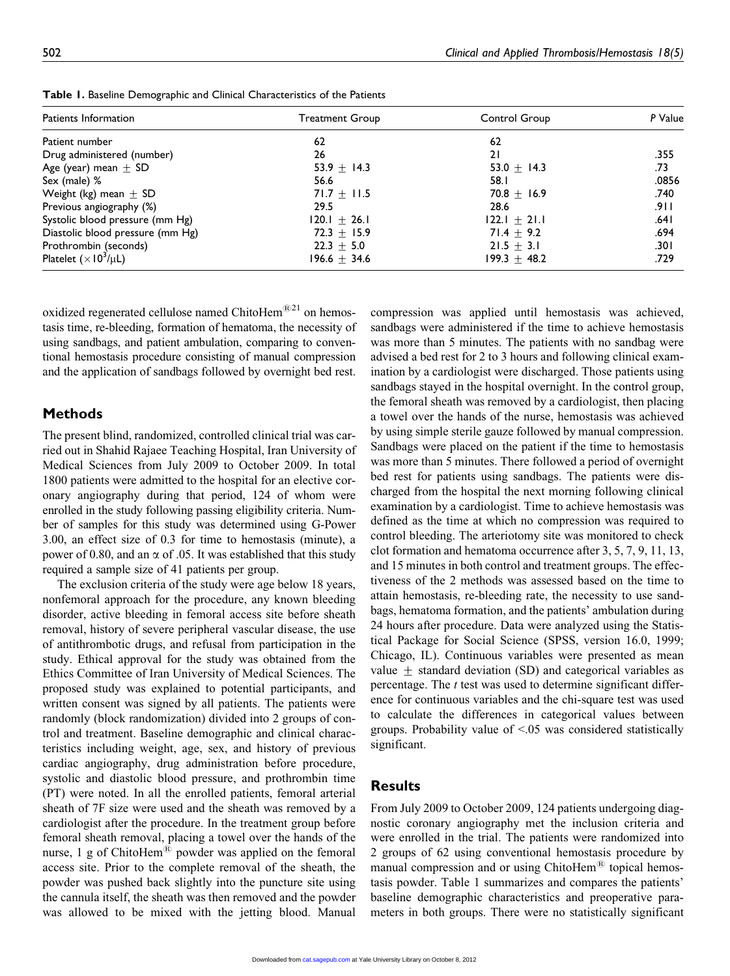| Patients Information             | <b>Treatment Group</b> | Control Group    | P Value |  |
|----------------------------------|------------------------|------------------|---------|--|
| Patient number                   | 62                     | 62               |         |  |
| Drug administered (number)       | 26                     | 21               | .355    |  |
| Age (year) mean $\pm$ SD         | 53.9 $\pm$ 14.3        | 53.0 $\pm$ 14.3  | .73     |  |
| Sex (male) %                     | 56.6                   | 58.I             | .0856   |  |
| Weight (kg) mean $\pm$ SD        | 71.7 $\pm$ 11.5        | 70.8 $\pm$ 16.9  | .740    |  |
| Previous angiography (%)         | 29.5                   | 28.6             | .911    |  |
| Systolic blood pressure (mm Hg)  | $120.1 \pm 26.1$       | $ 22.1 + 21.1 $  | ا 64.   |  |
| Diastolic blood pressure (mm Hg) | $72.3 \pm 15.9$        | 71.4 $\pm$ 9.2   | .694    |  |
| Prothrombin (seconds)            | $22.3 + 5.0$           | $21.5 + 3.1$     | .301    |  |
| Platelet $(\times 10^3/\mu L)$   | $196.6 \pm 34.6$       | $199.3 \pm 48.2$ | .729    |  |
|                                  |                        |                  |         |  |

Table 1. Baseline Demographic and Clinical Characteristics of the Patients

oxidized regenerated cellulose named ChitoHem $^{\circledR21}$  on hemostasis time, re-bleeding, formation of hematoma, the necessity of using sandbags, and patient ambulation, comparing to conventional hemostasis procedure consisting of manual compression and the application of sandbags followed by overnight bed rest.

# Methods

The present blind, randomized, controlled clinical trial was carried out in Shahid Rajaee Teaching Hospital, Iran University of Medical Sciences from July 2009 to October 2009. In total 1800 patients were admitted to the hospital for an elective coronary angiography during that period, 124 of whom were enrolled in the study following passing eligibility criteria. Number of samples for this study was determined using G-Power 3.00, an effect size of 0.3 for time to hemostasis (minute), a power of 0.80, and an  $\alpha$  of .05. It was established that this study required a sample size of 41 patients per group.

The exclusion criteria of the study were age below 18 years, nonfemoral approach for the procedure, any known bleeding disorder, active bleeding in femoral access site before sheath removal, history of severe peripheral vascular disease, the use of antithrombotic drugs, and refusal from participation in the study. Ethical approval for the study was obtained from the Ethics Committee of Iran University of Medical Sciences. The proposed study was explained to potential participants, and written consent was signed by all patients. The patients were randomly (block randomization) divided into 2 groups of control and treatment. Baseline demographic and clinical characteristics including weight, age, sex, and history of previous cardiac angiography, drug administration before procedure, systolic and diastolic blood pressure, and prothrombin time (PT) were noted. In all the enrolled patients, femoral arterial sheath of 7F size were used and the sheath was removed by a cardiologist after the procedure. In the treatment group before femoral sheath removal, placing a towel over the hands of the nurse, 1 g of ChitoHem<sup>®</sup> powder was applied on the femoral access site. Prior to the complete removal of the sheath, the powder was pushed back slightly into the puncture site using the cannula itself, the sheath was then removed and the powder was allowed to be mixed with the jetting blood. Manual

compression was applied until hemostasis was achieved, sandbags were administered if the time to achieve hemostasis was more than 5 minutes. The patients with no sandbag were advised a bed rest for 2 to 3 hours and following clinical examination by a cardiologist were discharged. Those patients using sandbags stayed in the hospital overnight. In the control group, the femoral sheath was removed by a cardiologist, then placing a towel over the hands of the nurse, hemostasis was achieved by using simple sterile gauze followed by manual compression. Sandbags were placed on the patient if the time to hemostasis was more than 5 minutes. There followed a period of overnight bed rest for patients using sandbags. The patients were discharged from the hospital the next morning following clinical examination by a cardiologist. Time to achieve hemostasis was defined as the time at which no compression was required to control bleeding. The arteriotomy site was monitored to check clot formation and hematoma occurrence after 3, 5, 7, 9, 11, 13, and 15 minutes in both control and treatment groups. The effectiveness of the 2 methods was assessed based on the time to attain hemostasis, re-bleeding rate, the necessity to use sandbags, hematoma formation, and the patients' ambulation during 24 hours after procedure. Data were analyzed using the Statistical Package for Social Science (SPSS, version 16.0, 1999; Chicago, IL). Continuous variables were presented as mean value  $+$  standard deviation (SD) and categorical variables as percentage. The *t* test was used to determine significant difference for continuous variables and the chi-square test was used to calculate the differences in categorical values between groups. Probability value of <.05 was considered statistically significant.

# Results

From July 2009 to October 2009, 124 patients undergoing diagnostic coronary angiography met the inclusion criteria and were enrolled in the trial. The patients were randomized into 2 groups of 62 using conventional hemostasis procedure by manual compression and or using  $ChitoHem<sup>®</sup>$  topical hemostasis powder. Table 1 summarizes and compares the patients' baseline demographic characteristics and preoperative parameters in both groups. There were no statistically significant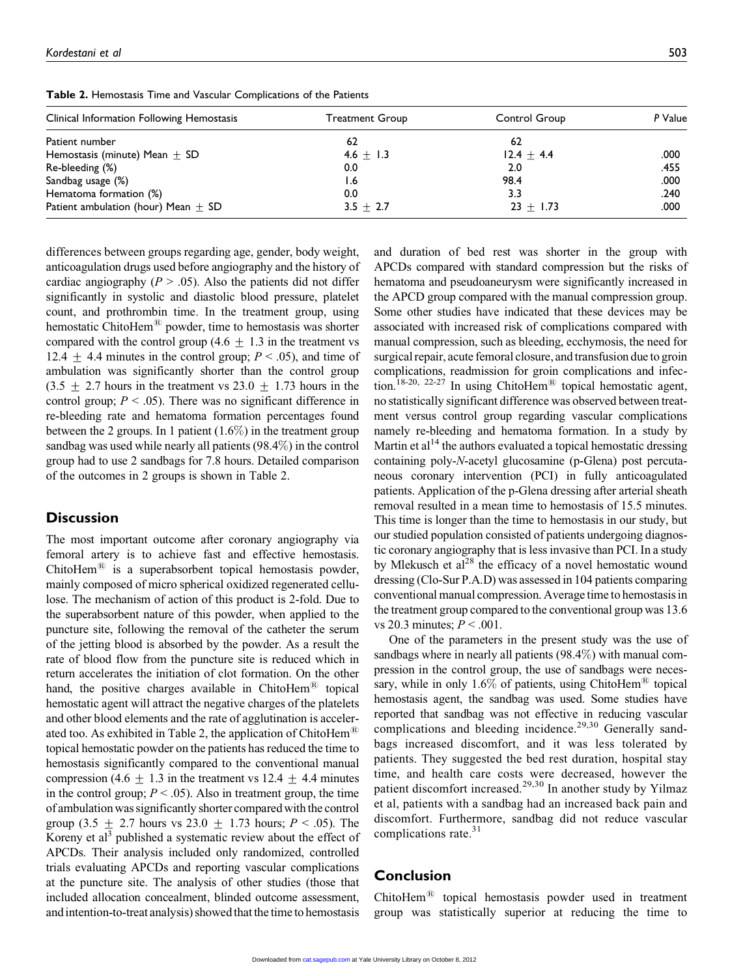| Clinical Information Following Hemostasis | Treatment Group | Control Group | P Value |
|-------------------------------------------|-----------------|---------------|---------|
| Patient number                            | 62              | 62            |         |
| Hemostasis (minute) Mean $\pm$ SD         | $4.6 + 1.3$     | $12.4 + 4.4$  | .000    |
| Re-bleeding (%)                           | 0.0             | 2.0           | .455    |
| Sandbag usage (%)                         | l.6             | 98.4          | .000    |
| Hematoma formation (%)                    | 0.0             | 3.3           | .240    |
| Patient ambulation (hour) Mean $\pm$ SD   | $3.5 + 2.7$     | $23 \pm 1.73$ | .000    |

Table 2. Hemostasis Time and Vascular Complications of the Patients

differences between groups regarding age, gender, body weight, anticoagulation drugs used before angiography and the history of cardiac angiography ( $P > .05$ ). Also the patients did not differ significantly in systolic and diastolic blood pressure, platelet count, and prothrombin time. In the treatment group, using hemostatic ChitoHem $^{(8)}$  powder, time to hemostasis was shorter compared with the control group (4.6  $\pm$  1.3 in the treatment vs 12.4  $\pm$  4.4 minutes in the control group;  $P < .05$ ), and time of ambulation was significantly shorter than the control group  $(3.5 \pm 2.7)$  hours in the treatment vs  $23.0 \pm 1.73$  hours in the control group;  $P < .05$ ). There was no significant difference in re-bleeding rate and hematoma formation percentages found between the 2 groups. In 1 patient  $(1.6\%)$  in the treatment group sandbag was used while nearly all patients (98.4%) in the control group had to use 2 sandbags for 7.8 hours. Detailed comparison of the outcomes in 2 groups is shown in Table 2.

# **Discussion**

The most important outcome after coronary angiography via femoral artery is to achieve fast and effective hemostasis. ChitoHem<sup>®</sup> is a superabsorbent topical hemostasis powder, mainly composed of micro spherical oxidized regenerated cellulose. The mechanism of action of this product is 2-fold. Due to the superabsorbent nature of this powder, when applied to the puncture site, following the removal of the catheter the serum of the jetting blood is absorbed by the powder. As a result the rate of blood flow from the puncture site is reduced which in return accelerates the initiation of clot formation. On the other hand, the positive charges available in ChitoHem<sup>®</sup> topical hemostatic agent will attract the negative charges of the platelets and other blood elements and the rate of agglutination is accelerated too. As exhibited in Table 2, the application of ChitoHem<sup><sup>88</sup></sup> topical hemostatic powder on the patients has reduced the time to hemostasis significantly compared to the conventional manual compression (4.6  $\pm$  1.3 in the treatment vs 12.4  $\pm$  4.4 minutes in the control group;  $P \leq .05$ ). Also in treatment group, the time of ambulation was significantly shorter compared with the control group (3.5  $\pm$  2.7 hours vs 23.0  $\pm$  1.73 hours; P < .05). The Koreny et  $al<sup>3</sup>$  published a systematic review about the effect of APCDs. Their analysis included only randomized, controlled trials evaluating APCDs and reporting vascular complications at the puncture site. The analysis of other studies (those that included allocation concealment, blinded outcome assessment, and intention-to-treat analysis) showed that the time to hemostasis

and duration of bed rest was shorter in the group with APCDs compared with standard compression but the risks of hematoma and pseudoaneurysm were significantly increased in the APCD group compared with the manual compression group. Some other studies have indicated that these devices may be associated with increased risk of complications compared with manual compression, such as bleeding, ecchymosis, the need for surgical repair, acute femoral closure, and transfusion due to groin complications, readmission for groin complications and infection.<sup>18-20, 22-27</sup> In using ChitoHem<sup>®</sup> topical hemostatic agent, no statistically significant difference was observed between treatment versus control group regarding vascular complications namely re-bleeding and hematoma formation. In a study by Martin et al<sup>14</sup> the authors evaluated a topical hemostatic dressing containing poly-N-acetyl glucosamine (p-Glena) post percutaneous coronary intervention (PCI) in fully anticoagulated patients. Application of the p-Glena dressing after arterial sheath removal resulted in a mean time to hemostasis of 15.5 minutes. This time is longer than the time to hemostasis in our study, but our studied population consisted of patients undergoing diagnostic coronary angiography that is less invasive than PCI. In a study by Mlekusch et  $al^{28}$  the efficacy of a novel hemostatic wound dressing (Clo-Sur P.A.D) was assessed in 104 patients comparing conventional manual compression. Average time to hemostasis in the treatment group compared to the conventional group was 13.6 vs 20.3 minutes;  $P < .001$ .

One of the parameters in the present study was the use of sandbags where in nearly all patients (98.4%) with manual compression in the control group, the use of sandbags were necessary, while in only 1.6% of patients, using ChitoHem<sup>®</sup> topical hemostasis agent, the sandbag was used. Some studies have reported that sandbag was not effective in reducing vascular complications and bleeding incidence.<sup>29,30</sup> Generally sandbags increased discomfort, and it was less tolerated by patients. They suggested the bed rest duration, hospital stay time, and health care costs were decreased, however the patient discomfort increased.<sup>29,30</sup> In another study by Yilmaz et al, patients with a sandbag had an increased back pain and discomfort. Furthermore, sandbag did not reduce vascular complications rate. $31$ 

## Conclusion

ChitoHem<sup>®</sup> topical hemostasis powder used in treatment group was statistically superior at reducing the time to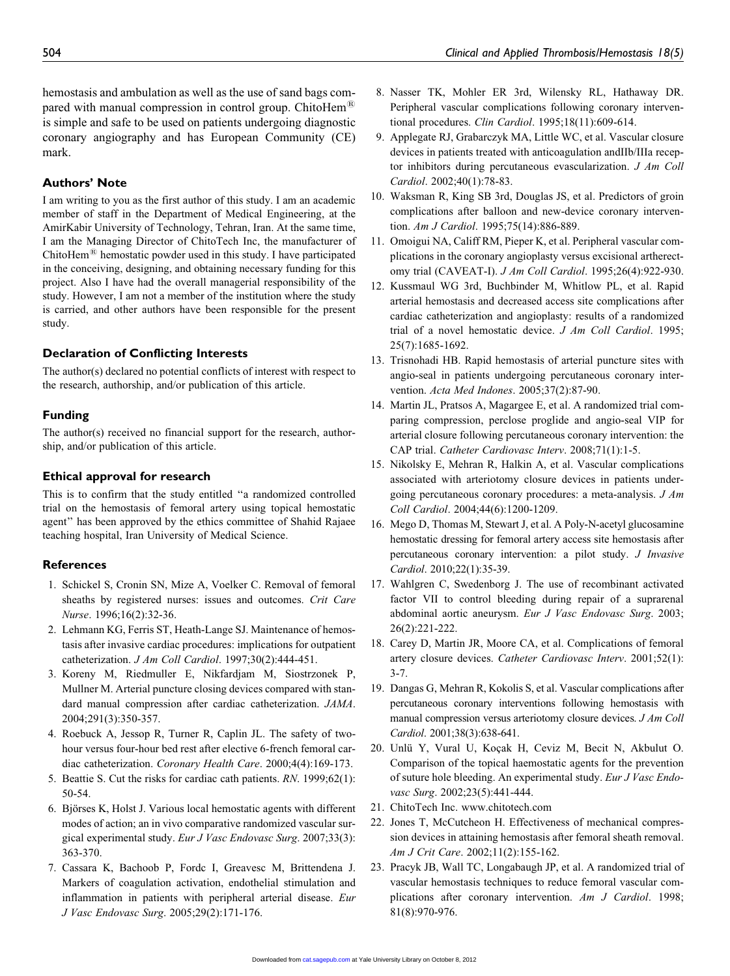hemostasis and ambulation as well as the use of sand bags compared with manual compression in control group. ChitoHem<sup>®</sup> is simple and safe to be used on patients undergoing diagnostic coronary angiography and has European Community (CE) mark.

#### Authors' Note

I am writing to you as the first author of this study. I am an academic member of staff in the Department of Medical Engineering, at the AmirKabir University of Technology, Tehran, Iran. At the same time, I am the Managing Director of ChitoTech Inc, the manufacturer of ChitoHem $^{(8)}$  hemostatic powder used in this study. I have participated in the conceiving, designing, and obtaining necessary funding for this project. Also I have had the overall managerial responsibility of the study. However, I am not a member of the institution where the study is carried, and other authors have been responsible for the present study.

#### Declaration of Conflicting Interests

The author(s) declared no potential conflicts of interest with respect to the research, authorship, and/or publication of this article.

#### Funding

The author(s) received no financial support for the research, authorship, and/or publication of this article.

#### Ethical approval for research

This is to confirm that the study entitled ''a randomized controlled trial on the hemostasis of femoral artery using topical hemostatic agent'' has been approved by the ethics committee of Shahid Rajaee teaching hospital, Iran University of Medical Science.

#### **References**

- 1. Schickel S, Cronin SN, Mize A, Voelker C. Removal of femoral sheaths by registered nurses: issues and outcomes. Crit Care Nurse. 1996;16(2):32-36.
- 2. Lehmann KG, Ferris ST, Heath-Lange SJ. Maintenance of hemostasis after invasive cardiac procedures: implications for outpatient catheterization. J Am Coll Cardiol. 1997;30(2):444-451.
- 3. Koreny M, Riedmuller E, Nikfardjam M, Siostrzonek P, Mullner M. Arterial puncture closing devices compared with standard manual compression after cardiac catheterization. JAMA. 2004;291(3):350-357.
- 4. Roebuck A, Jessop R, Turner R, Caplin JL. The safety of twohour versus four-hour bed rest after elective 6-french femoral cardiac catheterization. Coronary Health Care. 2000;4(4):169-173.
- 5. Beattie S. Cut the risks for cardiac cath patients. RN. 1999;62(1): 50-54.
- 6. Björses K, Holst J. Various local hemostatic agents with different modes of action; an in vivo comparative randomized vascular surgical experimental study. Eur J Vasc Endovasc Surg. 2007;33(3): 363-370.
- 7. Cassara K, Bachoob P, Fordc I, Greavesc M, Brittendena J. Markers of coagulation activation, endothelial stimulation and inflammation in patients with peripheral arterial disease. Eur J Vasc Endovasc Surg. 2005;29(2):171-176.
- 8. Nasser TK, Mohler ER 3rd, Wilensky RL, Hathaway DR. Peripheral vascular complications following coronary interventional procedures. Clin Cardiol. 1995;18(11):609-614.
- 9. Applegate RJ, Grabarczyk MA, Little WC, et al. Vascular closure devices in patients treated with anticoagulation andIIb/IIIa receptor inhibitors during percutaneous evascularization. J Am Coll Cardiol. 2002;40(1):78-83.
- 10. Waksman R, King SB 3rd, Douglas JS, et al. Predictors of groin complications after balloon and new-device coronary intervention. Am J Cardiol. 1995;75(14):886-889.
- 11. Omoigui NA, Califf RM, Pieper K, et al. Peripheral vascular complications in the coronary angioplasty versus excisional artherectomy trial (CAVEAT-I). J Am Coll Cardiol. 1995;26(4):922-930.
- 12. Kussmaul WG 3rd, Buchbinder M, Whitlow PL, et al. Rapid arterial hemostasis and decreased access site complications after cardiac catheterization and angioplasty: results of a randomized trial of a novel hemostatic device. J Am Coll Cardiol. 1995; 25(7):1685-1692.
- 13. Trisnohadi HB. Rapid hemostasis of arterial puncture sites with angio-seal in patients undergoing percutaneous coronary intervention. Acta Med Indones. 2005;37(2):87-90.
- 14. Martin JL, Pratsos A, Magargee E, et al. A randomized trial comparing compression, perclose proglide and angio-seal VIP for arterial closure following percutaneous coronary intervention: the CAP trial. Catheter Cardiovasc Interv. 2008;71(1):1-5.
- 15. Nikolsky E, Mehran R, Halkin A, et al. Vascular complications associated with arteriotomy closure devices in patients undergoing percutaneous coronary procedures: a meta-analysis. J Am Coll Cardiol. 2004;44(6):1200-1209.
- 16. Mego D, Thomas M, Stewart J, et al. A Poly-N-acetyl glucosamine hemostatic dressing for femoral artery access site hemostasis after percutaneous coronary intervention: a pilot study. J Invasive Cardiol. 2010;22(1):35-39.
- 17. Wahlgren C, Swedenborg J. The use of recombinant activated factor VII to control bleeding during repair of a suprarenal abdominal aortic aneurysm. Eur J Vasc Endovasc Surg. 2003; 26(2):221-222.
- 18. Carey D, Martin JR, Moore CA, et al. Complications of femoral artery closure devices. Catheter Cardiovasc Interv. 2001;52(1): 3-7.
- 19. Dangas G, Mehran R, Kokolis S, et al. Vascular complications after percutaneous coronary interventions following hemostasis with manual compression versus arteriotomy closure devices. J Am Coll Cardiol. 2001;38(3):638-641.
- 20. Unlu¨ Y, Vural U, Koc¸ak H, Ceviz M, Becit N, Akbulut O. Comparison of the topical haemostatic agents for the prevention of suture hole bleeding. An experimental study. Eur J Vasc Endovasc Surg. 2002;23(5):441-444.
- 21. ChitoTech Inc. www.chitotech.com
- 22. Jones T, McCutcheon H. Effectiveness of mechanical compression devices in attaining hemostasis after femoral sheath removal. Am J Crit Care. 2002;11(2):155-162.
- 23. Pracyk JB, Wall TC, Longabaugh JP, et al. A randomized trial of vascular hemostasis techniques to reduce femoral vascular complications after coronary intervention. Am J Cardiol. 1998; 81(8):970-976.